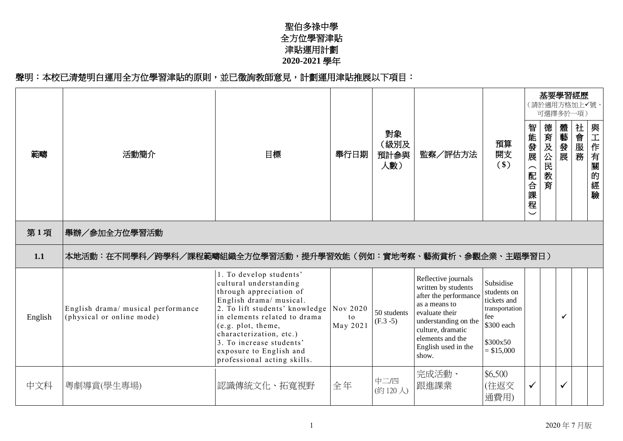## 聖伯多祿中學 全方位學習津貼 津貼運用計劃 **2020-2021** 學年

## 聲明:本校已清楚明白運用全方位學習津貼的原則,並已徵詢教師意見,計劃運用津貼推展以下項目:

|         |                                                                 |                                                                                                                                                                                                                                                                                                                  |                            |                            |                                                                                                                                                                                                         |                                                                                                           |                                           | 基要學習經歷<br>(請於適用方格加上√號<br>可選擇多於一項) |              |      |          |
|---------|-----------------------------------------------------------------|------------------------------------------------------------------------------------------------------------------------------------------------------------------------------------------------------------------------------------------------------------------------------------------------------------------|----------------------------|----------------------------|---------------------------------------------------------------------------------------------------------------------------------------------------------------------------------------------------------|-----------------------------------------------------------------------------------------------------------|-------------------------------------------|-----------------------------------|--------------|------|----------|
| 範疇      | 活動簡介                                                            | 目標                                                                                                                                                                                                                                                                                                               | 舉行日期                       | 對象<br>(級別及<br>預計參與<br>人數)  | 監察/評估方法                                                                                                                                                                                                 | 預算<br>開支<br>$($ \$)                                                                                       | 智能發展<br>(配合課程<br>$\overline{\phantom{0}}$ | 德育及公民教育                           | 體藝發展         | 社會服務 | 與工作有關的經驗 |
| 第1項     | 舉辦/參加全方位學習活動                                                    |                                                                                                                                                                                                                                                                                                                  |                            |                            |                                                                                                                                                                                                         |                                                                                                           |                                           |                                   |              |      |          |
| 1.1     | 本地活動:在不同學科/跨學科/課程範疇組織全方位學習活動,提升學習效能(例如:實地考察、藝術賞析、參觀企業、主題學習日)    |                                                                                                                                                                                                                                                                                                                  |                            |                            |                                                                                                                                                                                                         |                                                                                                           |                                           |                                   |              |      |          |
| English | English drama/ musical performance<br>(physical or online mode) | 1. To develop students'<br>cultural understanding<br>through appreciation of<br>English drama/ musical.<br>2. To lift students' knowledge<br>in elements related to drama<br>(e.g. plot, theme,<br>characterization, etc.)<br>3. To increase students'<br>exposure to English and<br>professional acting skills. | Nov 2020<br>to<br>May 2021 | 50 students<br>$(F.3 - 5)$ | Reflective journals<br>written by students<br>after the performance<br>as a means to<br>evaluate their<br>understanding on the<br>culture, dramatic<br>elements and the<br>English used in the<br>show. | Subsidise<br>students on<br>tickets and<br>transportation<br>fee<br>\$300 each<br>\$300x50<br>$= $15,000$ |                                           |                                   | ✓            |      |          |
| 中文科     | 粵劇導賞(學生專場)                                                      | 認識傳統文化、拓寬視野                                                                                                                                                                                                                                                                                                      | 全年                         | 中二/四<br>(約120人)            | 完成活動、<br>跟進課業                                                                                                                                                                                           | \$6,500<br>(往返交<br>通費用)                                                                                   | $\checkmark$                              |                                   | $\checkmark$ |      |          |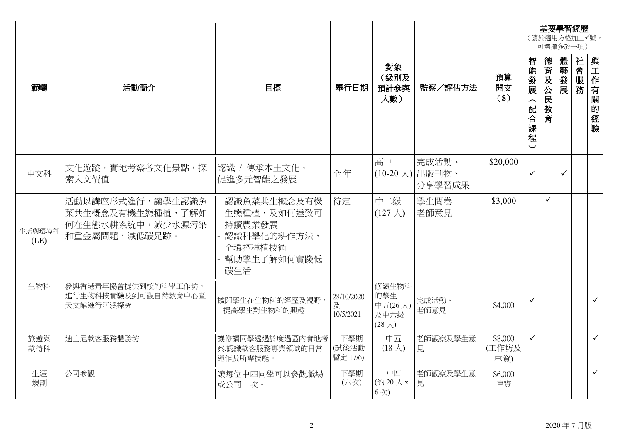|                |                                                                           |                                                                                      |                              |                                                   |                                   |                         |                   | 基要學習經歷<br>(請於適用方格加上√號,<br>可選擇多於一項) |              |          |              |
|----------------|---------------------------------------------------------------------------|--------------------------------------------------------------------------------------|------------------------------|---------------------------------------------------|-----------------------------------|-------------------------|-------------------|------------------------------------|--------------|----------|--------------|
| 範疇             | 活動簡介                                                                      | 目標                                                                                   | 舉行日期                         | 對象<br>(級別及<br>預計參與<br>人數)                         | 監察/評估方法                           | 預算<br>開支<br>$($)$       | 智能發展<br>(配合課<br>程 | 德育及公民<br>教<br>育                    | 體藝發<br>展     | 社會服<br>務 | 與工作<br>有關的經驗 |
| 中文科            | 文化遊蹤,實地考察各文化景點,探<br>索人文價值                                                 | 認識 / 傳承本土文化、<br>促進多元智能之發展                                                            | 全年                           | 高中                                                | 完成活動、<br>(10-20人) 出版刊物、<br>分享學習成果 | \$20,000                | $\checkmark$      |                                    | $\checkmark$ |          |              |
| 生活與環境科<br>(LE) | 活動以講座形式進行,讓學生認識魚<br>菜共生概念及有機生態種植,了解如<br>何在生態水耕系統中,減少水源污染<br>和重金屬問題,減低碳足跡。 | 認識魚菜共生概念及有機<br>生態種植,及如何達致可<br>持續農業發展<br>認識科學化的耕作方法,<br>全環控種植技術<br>幫助學生了解如何實踐低<br>碳生活 | 待定                           | 中二級<br>$(127 \lambda)$                            | 學生問卷<br>老師意見                      | \$3,000                 |                   | $\checkmark$                       |              |          |              |
| 生物科            | 參與香港青年協會提供到校的科學工作坊,<br>進行生物科技實驗及到可觀自然教育中心暨<br>天文館進行河溪探究                   | 擴闊學生在生物科的經歷及視野,<br>提高學生對生物科的興趣                                                       | 28/10/2020<br>及<br>10/5/2021 | 修讀生物科<br>的學生<br>中五(26人)<br>及中六級<br>$(28 \lambda)$ | 完成活動、<br>老師意見                     | \$4,000                 | $\checkmark$      |                                    |              |          | $\checkmark$ |
| 旅遊與<br>款待科     | 迪士尼款客服務體驗坊                                                                | 讓修讀同學透過於度過區內實地考<br>察,認識款客服務專業領域的日常<br>運作及所需技能。                                       | 下學期<br>(試後活動<br>暫定 17/6)     | 中五<br>$(18 \lambda)$                              | 老師觀察及學生意<br>見                     | \$8,000<br>(工作坊及<br>車資) | $\checkmark$      |                                    |              |          | $\checkmark$ |
| 生涯<br>規劃       | 公司參觀                                                                      | 讓每位中四同學可以參觀職場<br>或公司一次。                                                              | 下學期<br>(六次)                  | 中四<br>(約20人x<br>6次)                               | 老師觀察及學生意<br>見                     | \$6,000<br>車資           |                   |                                    |              |          | $\checkmark$ |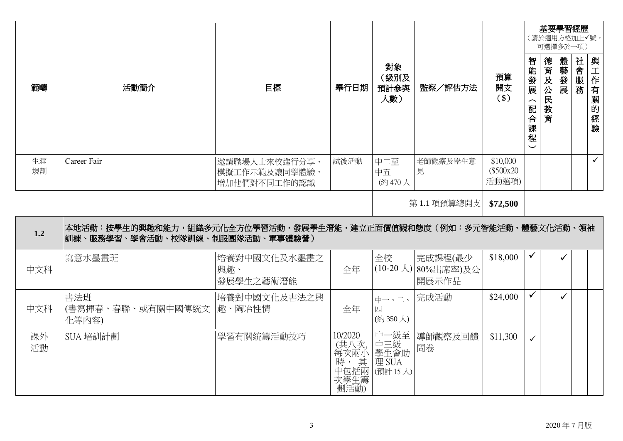|          |                                                                                                       |                                                 |      |                           |               |                                |                                              |             | 基要學習經歷<br>(請於適用方格加上✔號,<br>可選擇多於一項) |      |                  |
|----------|-------------------------------------------------------------------------------------------------------|-------------------------------------------------|------|---------------------------|---------------|--------------------------------|----------------------------------------------|-------------|------------------------------------|------|------------------|
| 範疇       | 活動簡介                                                                                                  | 目標                                              | 舉行日期 | 對象<br>(級別及<br>預計參與<br>人數) | 監察/評估方法       | 預算<br>開支<br>$(\$)$             | 智能發展<br>$\overline{\phantom{1}}$<br>配合課<br>程 | 德育及公民<br>教育 | 體藝發展                               | 社會服務 | 與工作有關<br>的<br>經驗 |
| 生涯<br>規劃 | Career Fair                                                                                           | 邀請職場人士來校進行分享、<br> 模擬工作示範及讓同學體驗,<br>增加他們對不同工作的認識 | 試後活動 | 中二至<br>中五<br>(約470人       | 老師觀察及學生意<br>見 | \$10,000<br>(\$500x20<br>活動選項) |                                              |             |                                    |      | $\checkmark$     |
|          |                                                                                                       |                                                 |      |                           | 第1.1 項預算總開支   | \$72,500                       |                                              |             |                                    |      |                  |
| 1.2      | 本地活動:按學生的興趣和能力,組織多元化全方位學習活動,發展學生潛能,建立正面價值觀和態度(例如:多元智能活動、體藝文化活動、領袖<br> 訓練、服務學習、學會活動、校隊訓練、制服團隊活動、軍事體驗營) |                                                 |      |                           |               |                                |                                              |             |                                    |      |                  |

| 中文科      | 寫意水墨畫班                                     | 培養對中國文化及水墨畫之<br>興趣、<br>發展學生之藝術潛能 | 全年                      | 全校<br>$(10-20 \lambda)$                                          | 完成課程(最少<br>) 80%出席率)及公<br>開展示作品 | \$18,000 | $\checkmark$ |              |  |
|----------|--------------------------------------------|----------------------------------|-------------------------|------------------------------------------------------------------|---------------------------------|----------|--------------|--------------|--|
| 中文科      | 書法班<br> (書寫揮春、春聯、或有關中國傳統文  趣、陶冶性情<br>化等内容) | 培養對中國文化及書法之興                     | 全年                      | 中一、二、<br>四<br>(約350人)                                            | 完成活動                            | \$24,000 | $\checkmark$ | $\checkmark$ |  |
| 課外<br>活動 | SUA 培訓計劃                                   | 學習有關統籌活動技巧                       | 10/2020<br>次學生籌<br>劃活動) | 中一級至<br>(共八次, 中三級<br>每次兩小 學生會助<br>, , 其 理 SUA<br> 中包括兩 (預計 15 人) | 導師觀察及回饋<br>問卷                   | \$11,300 | $\checkmark$ |              |  |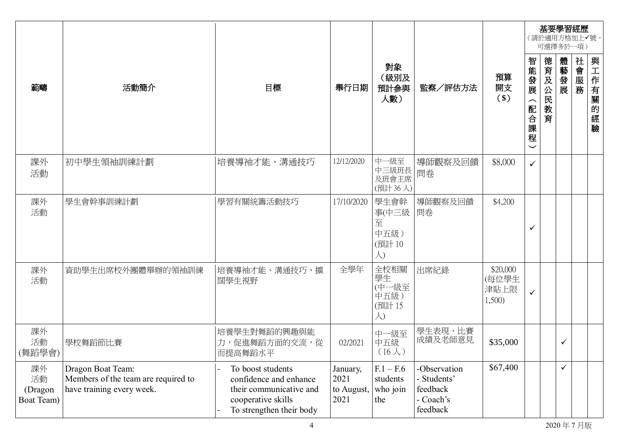|                                   |                                                                                       |                                                                                                                          |                                        |                                            |                                                                |                                     |                            |                 | 基要學習經歷<br>(請於適用方格加上√號,<br>可選擇多於一項) |          |          |
|-----------------------------------|---------------------------------------------------------------------------------------|--------------------------------------------------------------------------------------------------------------------------|----------------------------------------|--------------------------------------------|----------------------------------------------------------------|-------------------------------------|----------------------------|-----------------|------------------------------------|----------|----------|
| 範疇                                | 活動簡介                                                                                  | 目標                                                                                                                       | 舉行日期                                   | 對象<br>(級別及<br>預計參與<br>人數)                  | 監察/評估方法                                                        | 預算<br>開支<br>$($ \$)                 | 智能發展<br>⌒<br>配<br>一合課<br>程 | 德育及公民<br>教<br>育 | 體藝發展                               | 社會服<br>務 | 與工作有關的經驗 |
| 課外<br>活動                          | 初中學生領袖訓練計劃                                                                            | 培養導袖才能、溝通技巧                                                                                                              | 12/12/2020                             | 中一級至<br>中三級班長<br>及班會主席<br>(預計36人)          | 導師觀察及回饋<br>問卷                                                  | \$8,000                             | $\checkmark$               |                 |                                    |          |          |
| 課外<br>活動                          | 學生會幹事訓練計劃                                                                             | 學習有關統籌活動技巧                                                                                                               | 17/10/2020                             | 學生會幹<br>事(中三級<br>至<br>中五級)<br>(預計10<br>人)  | 導師觀察及回饋<br>問卷                                                  | \$4,200                             | ✓                          |                 |                                    |          |          |
| 課外<br>活動                          | 資助學生出席校外團體舉辦的領袖訓練                                                                     | 培養導袖才能、溝通技巧、擴<br>闊學生視野                                                                                                   | 全學年                                    | 全校相關<br>學生<br>(中一級至<br>中五級)<br>(預計15<br>人) | 出席紀錄                                                           | \$20,000<br>(每位學生<br>津貼上限<br>1,500) | ✓                          |                 |                                    |          |          |
| 課外<br>活動<br>(舞蹈學會)                | 學校舞蹈節比賽                                                                               | 培養學生對舞蹈的興趣與能<br>力,促進舞蹈方面的交流,從<br>而提高舞蹈水平                                                                                 | 02/2021                                | 中一級至<br>中五級<br>$(16 \lambda)$              | 學生表現、比賽<br>成績及老師意見                                             | \$35,000                            |                            |                 | ✓                                  |          |          |
| 課外<br>活動<br>(Dragon<br>Boat Team) | Dragon Boat Team:<br>Members of the team are required to<br>have training every week. | To boost students<br>confidence and enhance<br>their communicative and<br>cooperative skills<br>To strengthen their body | January,<br>2021<br>to August,<br>2021 | $F.1 - F.6$<br>students<br>who join<br>the | -Observation<br>Students'<br>feedback<br>- Coach's<br>feedback | \$67,400                            |                            |                 | $\checkmark$                       |          |          |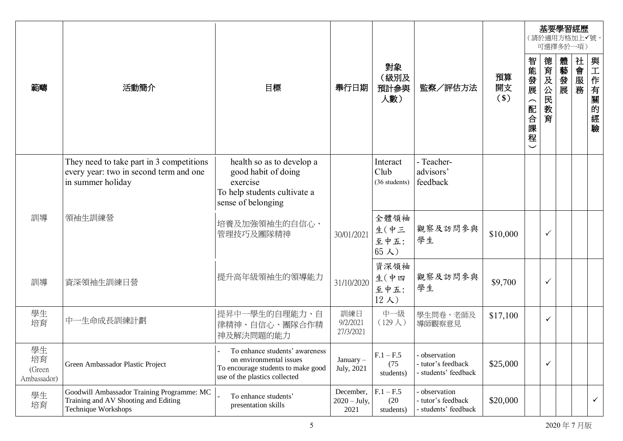|                                   |                                                                                                           |                                                                                                                                  |                                     |                                       |                                                           |                    |                                             |                 | 基要學習經歷<br>(請於適用方格加上√號,<br>可選擇多於一項) |      |              |
|-----------------------------------|-----------------------------------------------------------------------------------------------------------|----------------------------------------------------------------------------------------------------------------------------------|-------------------------------------|---------------------------------------|-----------------------------------------------------------|--------------------|---------------------------------------------|-----------------|------------------------------------|------|--------------|
| 範疇                                | 活動簡介                                                                                                      | 目標                                                                                                                               | 舉行日期                                | 對象<br>(級別及<br>預計參與<br>人數)             | 監察/評估方法                                                   | 預算<br>開支<br>$(\$)$ | 智能發展<br>$\widehat{\phantom{1}}$<br>配合課<br>程 | 德育及公民<br>教<br>育 | 體藝發展                               | 社會服務 | 與工作有關的經驗     |
|                                   | They need to take part in 3 competitions<br>every year: two in second term and one<br>in summer holiday   | health so as to develop a<br>good habit of doing<br>exercise<br>To help students cultivate a<br>sense of belonging               |                                     | Interact<br>Club<br>(36 students)     | - Teacher-<br>advisors'<br>feedback                       |                    |                                             |                 |                                    |      |              |
| 訓導                                | 領袖生訓練營                                                                                                    | 培養及加強領袖生的自信心、<br>管理技巧及團隊精神                                                                                                       | 30/01/2021                          | 全體領袖<br>生(中三<br>至中五:<br>$65 \lambda)$ | 觀察及訪問參與<br>學生                                             | \$10,000           |                                             | ✓               |                                    |      |              |
| 訓導                                | 資深領袖生訓練日營                                                                                                 | 提升高年級領袖生的領導能力                                                                                                                    | 31/10/2020                          | 資深領袖<br>生(中四<br>至中五:<br>$12 \lambda)$ | 觀察及訪問參與<br>學生                                             | \$9,700            |                                             | ✓               |                                    |      |              |
| 學生<br>培育                          | 中一生命成長訓練計劃                                                                                                | 提昇中一學生的自理能力、自<br>律精神、自信心、團隊合作精<br>神及解決問題的能力                                                                                      | 訓練日<br>9/2/2021<br>27/3/2021        | 中一級<br>$(129 \lambda)$                | 學生問卷、老師及<br>導師觀察意見                                        | \$17,100           |                                             | $\checkmark$    |                                    |      |              |
| 學生<br>培育<br>(Green<br>Ambassador) | Green Ambassador Plastic Project                                                                          | To enhance students' awareness<br>on environmental issues<br>To encourage students to make good<br>use of the plastics collected | $January -$<br>July, 2021           | $F.1 - F.5$<br>(75)<br>students)      | - observation<br>tutor's feedback<br>- students' feedback | \$25,000           |                                             | $\checkmark$    |                                    |      |              |
| 學生<br>培育                          | Goodwill Ambassador Training Programme: MC<br>Training and AV Shooting and Editing<br>Technique Workshops | To enhance students'<br>presentation skills                                                                                      | December,<br>$2020 - July,$<br>2021 | $F.1 - F.5$<br>(20)<br>students)      | observation<br>- tutor's feedback<br>- students' feedback | \$20,000           |                                             |                 |                                    |      | $\checkmark$ |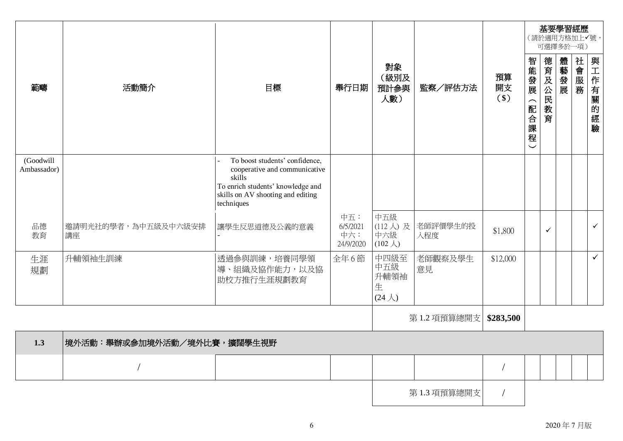| 範疇                       | 活動簡介                       | 目標                                                                                                                                                                | 舉行日期                                | 對象<br>(級別及<br>預計參與<br>人數)                  | 監察/評估方法         | 預算<br>開支<br>$($)$ | (請於適用方格加上√號,<br>智能發展<br>(配合課程 | 基要學習經歷<br>可選擇多於一項)<br>德育及公民教育 | 體藝發展 | 社會服務 | 與工作有關的經驗     |
|--------------------------|----------------------------|-------------------------------------------------------------------------------------------------------------------------------------------------------------------|-------------------------------------|--------------------------------------------|-----------------|-------------------|-------------------------------|-------------------------------|------|------|--------------|
| (Goodwill<br>Ambassador) |                            | To boost students' confidence,<br>cooperative and communicative<br>skills<br>To enrich students' knowledge and<br>skills on AV shooting and editing<br>techniques |                                     |                                            |                 |                   | $\checkmark$                  |                               |      |      |              |
| 品德<br>教育                 | 邀請明光社的學者,為中五級及中六級安排<br>講座  | 讓學生反思道德及公義的意義                                                                                                                                                     | 中五:<br>6/5/2021<br>中六:<br>24/9/2020 | 中五級<br>(112人)及<br>中六級<br>$(102 \lambda)$   | 老師評價學生的投<br>入程度 | \$1,800           |                               | $\checkmark$                  |      |      | $\checkmark$ |
| 生涯<br>規劃                 | 升輔領袖生訓練                    | 透過參與訓練,培養同學領<br>導、組織及協作能力,以及協<br>助校方推行生涯規劃教育                                                                                                                      | 全年6節                                | 中四級至<br>中五級<br>升輔領袖<br>生<br>$(24 \lambda)$ | 老師觀察及學生<br>意見   | \$12,000          |                               |                               |      |      | $\checkmark$ |
|                          |                            |                                                                                                                                                                   |                                     |                                            | 第1.2 項預算總開支     | \$283,500         |                               |                               |      |      |              |
| 1.3                      | 境外活動:舉辦或參加境外活動/境外比賽,擴闊學生視野 |                                                                                                                                                                   |                                     |                                            |                 |                   |                               |                               |      |      |              |
|                          |                            |                                                                                                                                                                   |                                     |                                            |                 |                   |                               |                               |      |      |              |
|                          |                            |                                                                                                                                                                   |                                     |                                            | 第1.3 項預算總開支     |                   |                               |                               |      |      |              |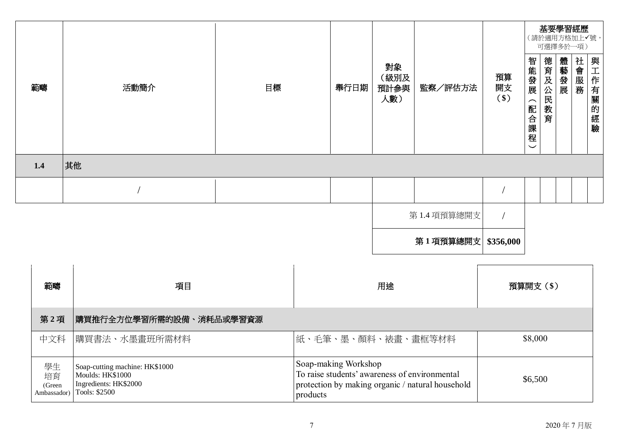|     |      |    |      |                           |                    |                   |                                                          |             | 基要學習經歷<br>(請於適用方格加上√號,<br>可選擇多於一項) |      |                   |
|-----|------|----|------|---------------------------|--------------------|-------------------|----------------------------------------------------------|-------------|------------------------------------|------|-------------------|
| 範疇  | 活動簡介 | 目標 | 舉行日期 | 對象<br>(級別及<br>預計參與<br>人數) | 監察/評估方法            | 預算<br>開支<br>$($)$ | 智能發展<br>$\overline{\phantom{1}}$<br>配合課<br>程<br>$\smile$ | 德育及公民<br>教育 | 體藝發展                               | 社會服務 | 與工作有!<br>關<br>的經驗 |
| 1.4 | 其他   |    |      |                           |                    |                   |                                                          |             |                                    |      |                   |
|     |      |    |      |                           |                    |                   |                                                          |             |                                    |      |                   |
|     |      |    |      |                           | 第1.4 項預算總開支        |                   |                                                          |             |                                    |      |                   |
|     |      |    |      |                           | 第1項預算總開支 \$356,000 |                   |                                                          |             |                                    |      |                   |

| 範疇                                | 項目                                                                                           | 用途                                                                                                                                    | 預算開支(\$) |
|-----------------------------------|----------------------------------------------------------------------------------------------|---------------------------------------------------------------------------------------------------------------------------------------|----------|
| 第2項                               | 購買推行全方位學習所需的設備、消耗品或學習資源                                                                      |                                                                                                                                       |          |
| 中文科                               | 購買書法、水墨畫班所需材料                                                                                | 紙、毛筆、墨、顏料、裱書、書框等材料                                                                                                                    | \$8,000  |
| 學生<br>培育<br>(Green<br>Ambassador) | Soap-cutting machine: HK\$1000<br>Moulds: HK\$1000<br>Ingredients: HK\$2000<br>Tools: \$2500 | Soap-making Workshop<br>To raise students' awareness of environmental<br>protection by making organic / natural household<br>products | \$6,500  |